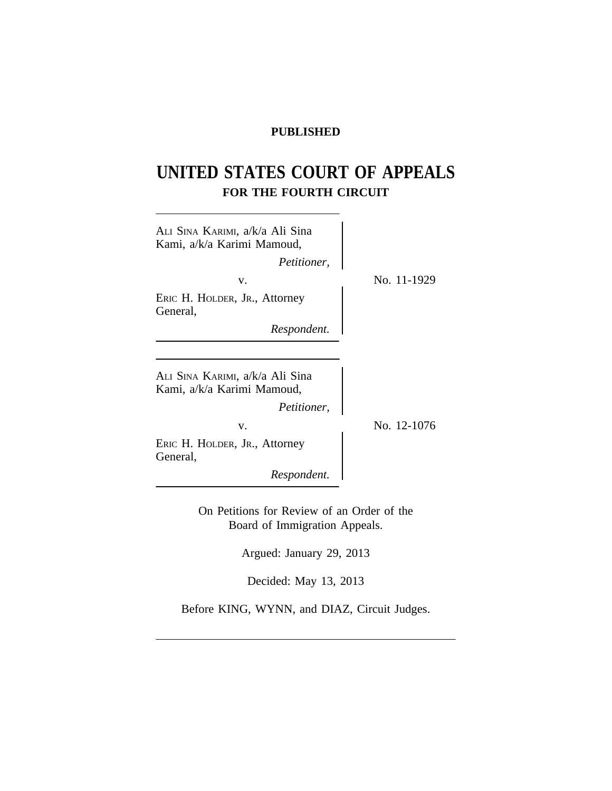# **PUBLISHED**

# **UNITED STATES COURT OF APPEALS FOR THE FOURTH CIRCUIT**

| Ali Sina Karimi, a/k/a Ali Sina<br>Kami, a/k/a Karimi Mamoud, |             |
|---------------------------------------------------------------|-------------|
| Petitioner,                                                   |             |
| V.                                                            | No. 11-1929 |
| ERIC H. HOLDER, JR., Attorney<br>General,                     |             |
| Respondent.                                                   |             |
|                                                               |             |
| ALI SINA KARIMI, a/k/a Ali Sina<br>Kami, a/k/a Karimi Mamoud, |             |
| Petitioner,                                                   |             |
| V.                                                            | No. 12-1076 |
| ERIC H. HOLDER, JR., Attorney<br>General,                     |             |
| Respondent.                                                   |             |
|                                                               |             |

On Petitions for Review of an Order of the Board of Immigration Appeals.

Argued: January 29, 2013

Decided: May 13, 2013

Before KING, WYNN, and DIAZ, Circuit Judges.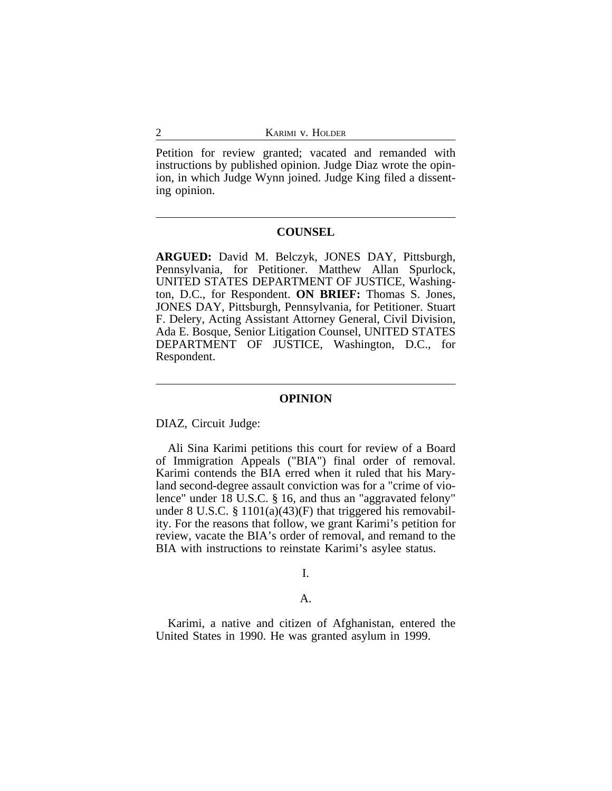Petition for review granted; vacated and remanded with instructions by published opinion. Judge Diaz wrote the opinion, in which Judge Wynn joined. Judge King filed a dissenting opinion.

## **COUNSEL**

**ARGUED:** David M. Belczyk, JONES DAY, Pittsburgh, Pennsylvania, for Petitioner. Matthew Allan Spurlock, UNITED STATES DEPARTMENT OF JUSTICE, Washington, D.C., for Respondent. **ON BRIEF:** Thomas S. Jones, JONES DAY, Pittsburgh, Pennsylvania, for Petitioner. Stuart F. Delery, Acting Assistant Attorney General, Civil Division, Ada E. Bosque, Senior Litigation Counsel, UNITED STATES DEPARTMENT OF JUSTICE, Washington, D.C., for Respondent.

#### **OPINION**

DIAZ, Circuit Judge:

Ali Sina Karimi petitions this court for review of a Board of Immigration Appeals ("BIA") final order of removal. Karimi contends the BIA erred when it ruled that his Maryland second-degree assault conviction was for a "crime of violence" under 18 U.S.C. § 16, and thus an "aggravated felony" under 8 U.S.C.  $\S 1101(a)(43)(F)$  that triggered his removability. For the reasons that follow, we grant Karimi's petition for review, vacate the BIA's order of removal, and remand to the BIA with instructions to reinstate Karimi's asylee status.

I.

# A.

Karimi, a native and citizen of Afghanistan, entered the United States in 1990. He was granted asylum in 1999.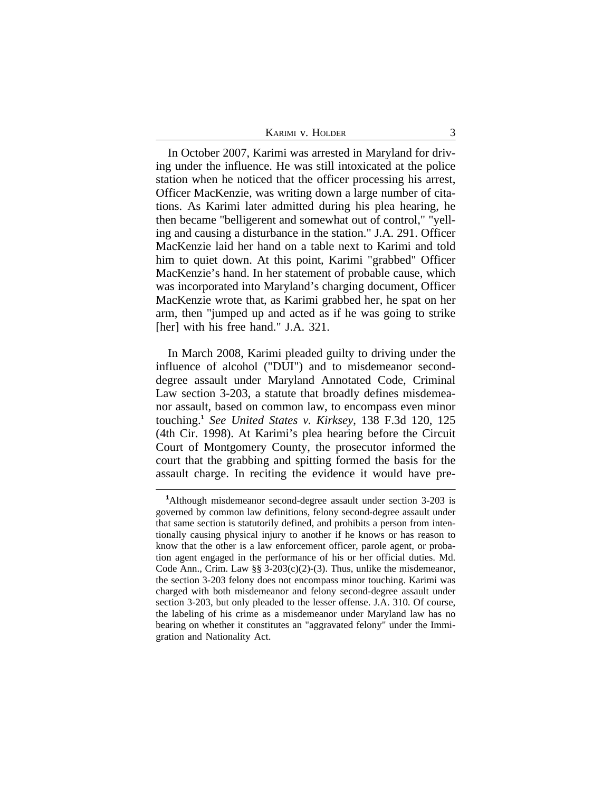| KARIMI V. HOLDER |
|------------------|
|                  |

In October 2007, Karimi was arrested in Maryland for driving under the influence. He was still intoxicated at the police station when he noticed that the officer processing his arrest, Officer MacKenzie, was writing down a large number of citations. As Karimi later admitted during his plea hearing, he then became "belligerent and somewhat out of control," "yelling and causing a disturbance in the station." J.A. 291. Officer MacKenzie laid her hand on a table next to Karimi and told him to quiet down. At this point, Karimi "grabbed" Officer MacKenzie's hand. In her statement of probable cause, which was incorporated into Maryland's charging document, Officer MacKenzie wrote that, as Karimi grabbed her, he spat on her arm, then "jumped up and acted as if he was going to strike [her] with his free hand." J.A. 321.

In March 2008, Karimi pleaded guilty to driving under the influence of alcohol ("DUI") and to misdemeanor seconddegree assault under Maryland Annotated Code, Criminal Law section 3-203, a statute that broadly defines misdemeanor assault, based on common law, to encompass even minor touching.**<sup>1</sup>** *See United States v. Kirksey*, 138 F.3d 120, 125 (4th Cir. 1998). At Karimi's plea hearing before the Circuit Court of Montgomery County, the prosecutor informed the court that the grabbing and spitting formed the basis for the assault charge. In reciting the evidence it would have pre-

**<sup>1</sup>**Although misdemeanor second-degree assault under section 3-203 is governed by common law definitions, felony second-degree assault under that same section is statutorily defined, and prohibits a person from intentionally causing physical injury to another if he knows or has reason to know that the other is a law enforcement officer, parole agent, or probation agent engaged in the performance of his or her official duties. Md. Code Ann., Crim. Law  $\S$  3-203(c)(2)-(3). Thus, unlike the misdemeanor, the section 3-203 felony does not encompass minor touching. Karimi was charged with both misdemeanor and felony second-degree assault under section 3-203, but only pleaded to the lesser offense. J.A. 310. Of course, the labeling of his crime as a misdemeanor under Maryland law has no bearing on whether it constitutes an "aggravated felony" under the Immigration and Nationality Act.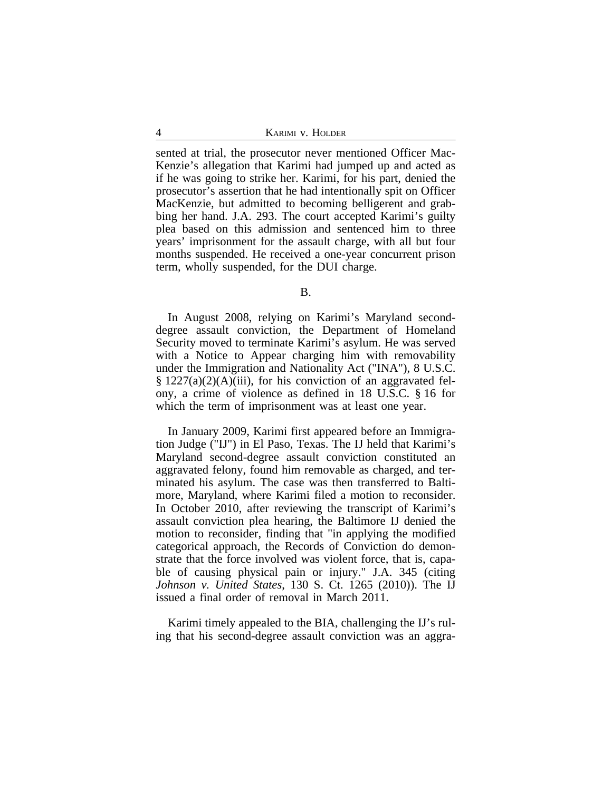sented at trial, the prosecutor never mentioned Officer Mac-Kenzie's allegation that Karimi had jumped up and acted as if he was going to strike her. Karimi, for his part, denied the prosecutor's assertion that he had intentionally spit on Officer MacKenzie, but admitted to becoming belligerent and grabbing her hand. J.A. 293. The court accepted Karimi's guilty plea based on this admission and sentenced him to three years' imprisonment for the assault charge, with all but four months suspended. He received a one-year concurrent prison term, wholly suspended, for the DUI charge.

B.

In August 2008, relying on Karimi's Maryland seconddegree assault conviction, the Department of Homeland Security moved to terminate Karimi's asylum. He was served with a Notice to Appear charging him with removability under the Immigration and Nationality Act ("INA"), 8 U.S.C.  $\S 1227(a)(2)(A)(iii)$ , for his conviction of an aggravated felony, a crime of violence as defined in 18 U.S.C. § 16 for which the term of imprisonment was at least one year.

In January 2009, Karimi first appeared before an Immigration Judge ("IJ") in El Paso, Texas. The IJ held that Karimi's Maryland second-degree assault conviction constituted an aggravated felony, found him removable as charged, and terminated his asylum. The case was then transferred to Baltimore, Maryland, where Karimi filed a motion to reconsider. In October 2010, after reviewing the transcript of Karimi's assault conviction plea hearing, the Baltimore IJ denied the motion to reconsider, finding that "in applying the modified categorical approach, the Records of Conviction do demonstrate that the force involved was violent force, that is, capable of causing physical pain or injury." J.A. 345 (citing *Johnson v. United States*, 130 S. Ct. 1265 (2010)). The IJ issued a final order of removal in March 2011.

Karimi timely appealed to the BIA, challenging the IJ's ruling that his second-degree assault conviction was an aggra-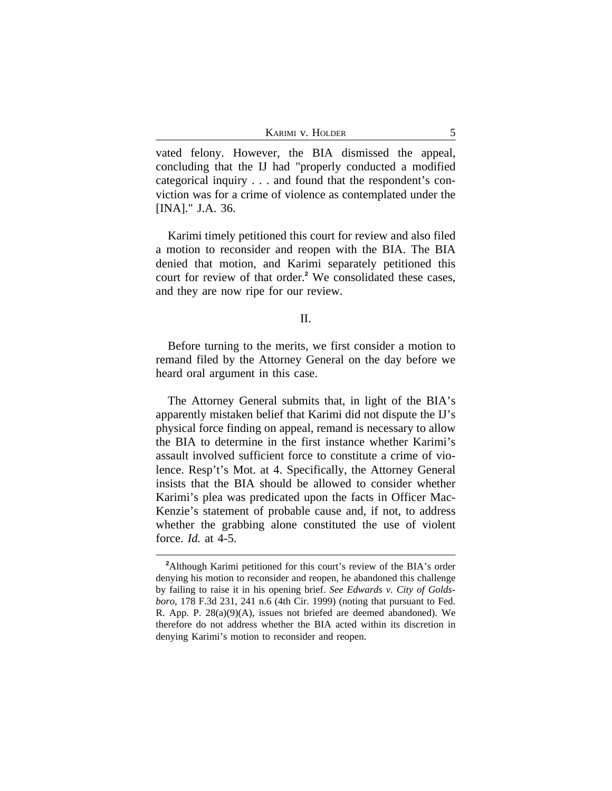|  | KARIMI V. HOLDER |  |
|--|------------------|--|
|  |                  |  |

vated felony. However, the BIA dismissed the appeal, concluding that the IJ had "properly conducted a modified categorical inquiry . . . and found that the respondent's conviction was for a crime of violence as contemplated under the [INA]." J.A. 36.

Karimi timely petitioned this court for review and also filed a motion to reconsider and reopen with the BIA. The BIA denied that motion, and Karimi separately petitioned this court for review of that order.**<sup>2</sup>** We consolidated these cases, and they are now ripe for our review.

# II.

Before turning to the merits, we first consider a motion to remand filed by the Attorney General on the day before we heard oral argument in this case.

The Attorney General submits that, in light of the BIA's apparently mistaken belief that Karimi did not dispute the IJ's physical force finding on appeal, remand is necessary to allow the BIA to determine in the first instance whether Karimi's assault involved sufficient force to constitute a crime of violence. Resp't's Mot. at 4. Specifically, the Attorney General insists that the BIA should be allowed to consider whether Karimi's plea was predicated upon the facts in Officer Mac-Kenzie's statement of probable cause and, if not, to address whether the grabbing alone constituted the use of violent force. *Id.* at 4-5.

**<sup>2</sup>**Although Karimi petitioned for this court's review of the BIA's order denying his motion to reconsider and reopen, he abandoned this challenge by failing to raise it in his opening brief. *See Edwards v. City of Goldsboro*, 178 F.3d 231, 241 n.6 (4th Cir. 1999) (noting that pursuant to Fed. R. App. P. 28(a)(9)(A), issues not briefed are deemed abandoned). We therefore do not address whether the BIA acted within its discretion in denying Karimi's motion to reconsider and reopen.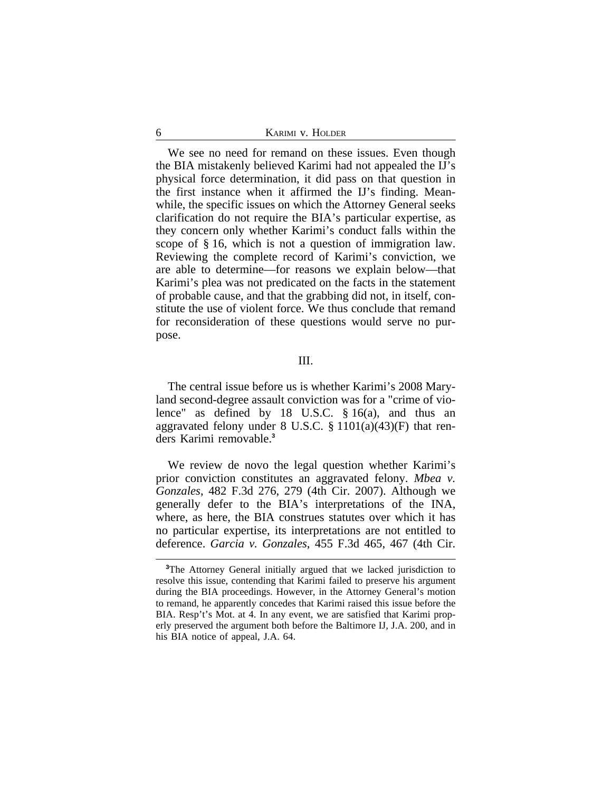We see no need for remand on these issues. Even though the BIA mistakenly believed Karimi had not appealed the IJ's physical force determination, it did pass on that question in the first instance when it affirmed the IJ's finding. Meanwhile, the specific issues on which the Attorney General seeks clarification do not require the BIA's particular expertise, as they concern only whether Karimi's conduct falls within the scope of § 16, which is not a question of immigration law. Reviewing the complete record of Karimi's conviction, we are able to determine—for reasons we explain below—that Karimi's plea was not predicated on the facts in the statement of probable cause, and that the grabbing did not, in itself, constitute the use of violent force. We thus conclude that remand for reconsideration of these questions would serve no purpose.

### III.

The central issue before us is whether Karimi's 2008 Maryland second-degree assault conviction was for a "crime of violence" as defined by 18 U.S.C. § 16(a), and thus an aggravated felony under  $8 \text{ U.S.C. } \S 1101(a)(43)(F)$  that renders Karimi removable.**<sup>3</sup>**

We review de novo the legal question whether Karimi's prior conviction constitutes an aggravated felony. *Mbea v. Gonzales*, 482 F.3d 276, 279 (4th Cir. 2007). Although we generally defer to the BIA's interpretations of the INA, where, as here, the BIA construes statutes over which it has no particular expertise, its interpretations are not entitled to deference. *Garcia v. Gonzales*, 455 F.3d 465, 467 (4th Cir.

**<sup>3</sup>**The Attorney General initially argued that we lacked jurisdiction to resolve this issue, contending that Karimi failed to preserve his argument during the BIA proceedings. However, in the Attorney General's motion to remand, he apparently concedes that Karimi raised this issue before the BIA. Resp't's Mot. at 4. In any event, we are satisfied that Karimi properly preserved the argument both before the Baltimore IJ, J.A. 200, and in his BIA notice of appeal, J.A. 64.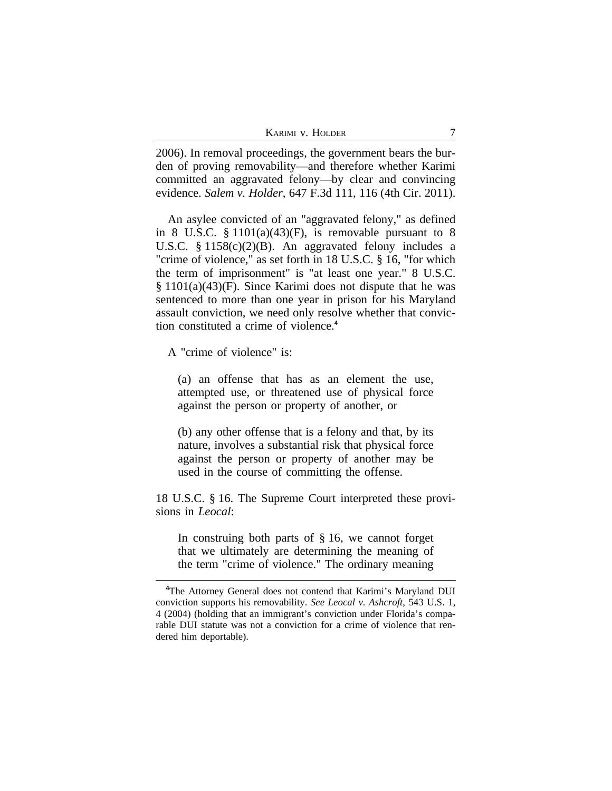2006). In removal proceedings, the government bears the burden of proving removability—and therefore whether Karimi committed an aggravated felony—by clear and convincing evidence. *Salem v. Holder*, 647 F.3d 111, 116 (4th Cir. 2011).

An asylee convicted of an "aggravated felony," as defined in 8 U.S.C.  $\S 1101(a)(43)$ (F), is removable pursuant to 8 U.S.C. § 1158(c)(2)(B). An aggravated felony includes a "crime of violence," as set forth in 18 U.S.C. § 16, "for which the term of imprisonment" is "at least one year." 8 U.S.C. § 1101(a)(43)(F). Since Karimi does not dispute that he was sentenced to more than one year in prison for his Maryland assault conviction, we need only resolve whether that conviction constituted a crime of violence.**<sup>4</sup>**

A "crime of violence" is:

(a) an offense that has as an element the use, attempted use, or threatened use of physical force against the person or property of another, or

(b) any other offense that is a felony and that, by its nature, involves a substantial risk that physical force against the person or property of another may be used in the course of committing the offense.

18 U.S.C. § 16. The Supreme Court interpreted these provisions in *Leocal*:

In construing both parts of  $\S$  16, we cannot forget that we ultimately are determining the meaning of the term "crime of violence." The ordinary meaning

**<sup>4</sup>**The Attorney General does not contend that Karimi's Maryland DUI conviction supports his removability. *See Leocal v. Ashcroft*, 543 U.S. 1, 4 (2004) (holding that an immigrant's conviction under Florida's comparable DUI statute was not a conviction for a crime of violence that rendered him deportable).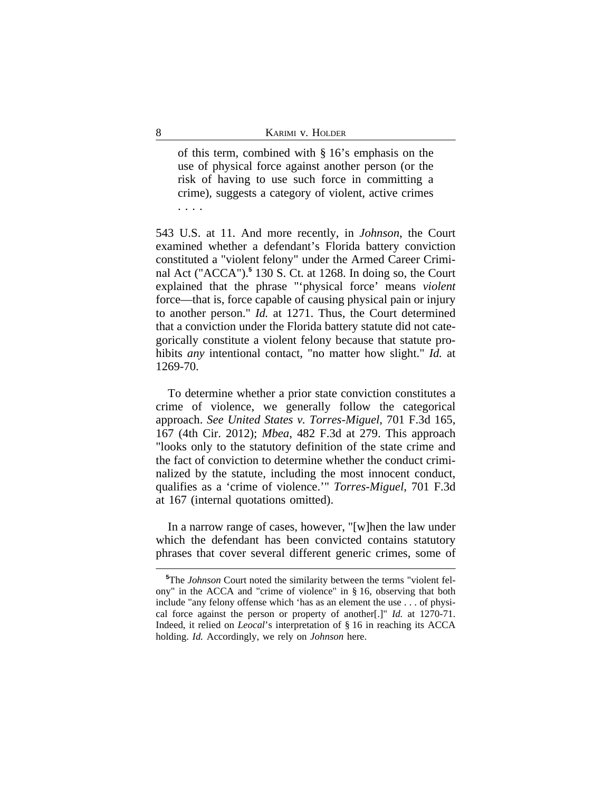of this term, combined with § 16's emphasis on the use of physical force against another person (or the risk of having to use such force in committing a crime), suggests a category of violent, active crimes . . . .

543 U.S. at 11. And more recently, in *Johnson*, the Court examined whether a defendant's Florida battery conviction constituted a "violent felony" under the Armed Career Criminal Act ("ACCA").**<sup>5</sup>** 130 S. Ct. at 1268. In doing so, the Court explained that the phrase "'physical force' means *violent* force—that is, force capable of causing physical pain or injury to another person." *Id.* at 1271. Thus, the Court determined that a conviction under the Florida battery statute did not categorically constitute a violent felony because that statute prohibits *any* intentional contact, "no matter how slight." *Id.* at 1269-70.

To determine whether a prior state conviction constitutes a crime of violence, we generally follow the categorical approach. *See United States v. Torres-Miguel*, 701 F.3d 165, 167 (4th Cir. 2012); *Mbea*, 482 F.3d at 279. This approach "looks only to the statutory definition of the state crime and the fact of conviction to determine whether the conduct criminalized by the statute, including the most innocent conduct, qualifies as a 'crime of violence.'" *Torres-Miguel*, 701 F.3d at 167 (internal quotations omitted).

In a narrow range of cases, however, "[w]hen the law under which the defendant has been convicted contains statutory phrases that cover several different generic crimes, some of

**<sup>5</sup>**The *Johnson* Court noted the similarity between the terms "violent felony" in the ACCA and "crime of violence" in § 16, observing that both include "any felony offense which 'has as an element the use . . . of physical force against the person or property of another[.]" *Id.* at 1270-71. Indeed, it relied on *Leocal*'s interpretation of § 16 in reaching its ACCA holding. *Id.* Accordingly, we rely on *Johnson* here.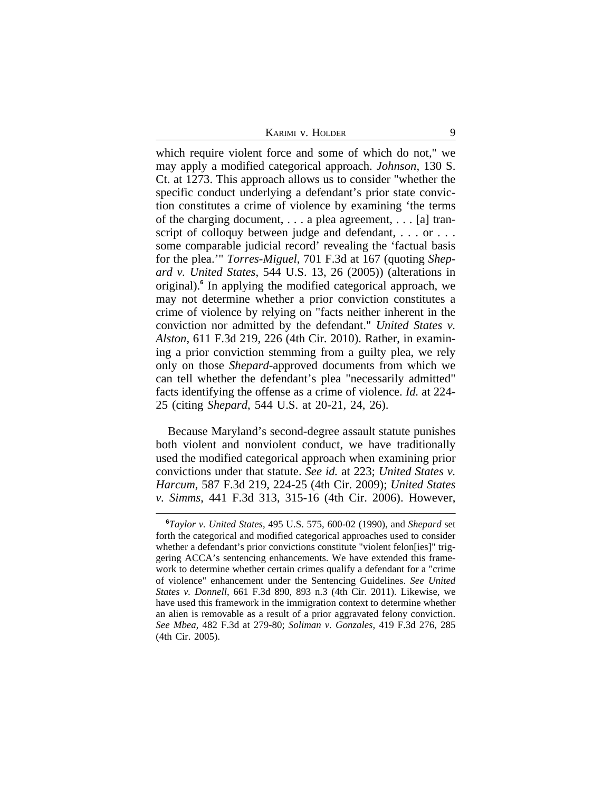KARIMI V. HOLDER 9

which require violent force and some of which do not," we may apply a modified categorical approach. *Johnson*, 130 S. Ct. at 1273. This approach allows us to consider "whether the specific conduct underlying a defendant's prior state conviction constitutes a crime of violence by examining 'the terms of the charging document, . . . a plea agreement, . . . [a] transcript of colloquy between judge and defendant, ... or ... some comparable judicial record' revealing the 'factual basis for the plea.'" *Torres-Miguel*, 701 F.3d at 167 (quoting *Shepard v. United States*, 544 U.S. 13, 26 (2005)) (alterations in original).**<sup>6</sup>** In applying the modified categorical approach, we may not determine whether a prior conviction constitutes a crime of violence by relying on "facts neither inherent in the conviction nor admitted by the defendant." *United States v. Alston*, 611 F.3d 219, 226 (4th Cir. 2010). Rather, in examining a prior conviction stemming from a guilty plea, we rely only on those *Shepard*-approved documents from which we can tell whether the defendant's plea "necessarily admitted" facts identifying the offense as a crime of violence. *Id.* at 224- 25 (citing *Shepard*, 544 U.S. at 20-21, 24, 26).

Because Maryland's second-degree assault statute punishes both violent and nonviolent conduct, we have traditionally used the modified categorical approach when examining prior convictions under that statute. *See id.* at 223; *United States v. Harcum*, 587 F.3d 219, 224-25 (4th Cir. 2009); *United States v. Simms*, 441 F.3d 313, 315-16 (4th Cir. 2006). However,

**<sup>6</sup>***Taylor v. United States*, 495 U.S. 575, 600-02 (1990), and *Shepard* set forth the categorical and modified categorical approaches used to consider whether a defendant's prior convictions constitute "violent felon[ies]" triggering ACCA's sentencing enhancements. We have extended this framework to determine whether certain crimes qualify a defendant for a "crime of violence" enhancement under the Sentencing Guidelines. *See United States v. Donnell*, 661 F.3d 890, 893 n.3 (4th Cir. 2011). Likewise, we have used this framework in the immigration context to determine whether an alien is removable as a result of a prior aggravated felony conviction. *See Mbea*, 482 F.3d at 279-80; *Soliman v. Gonzales*, 419 F.3d 276, 285 (4th Cir. 2005).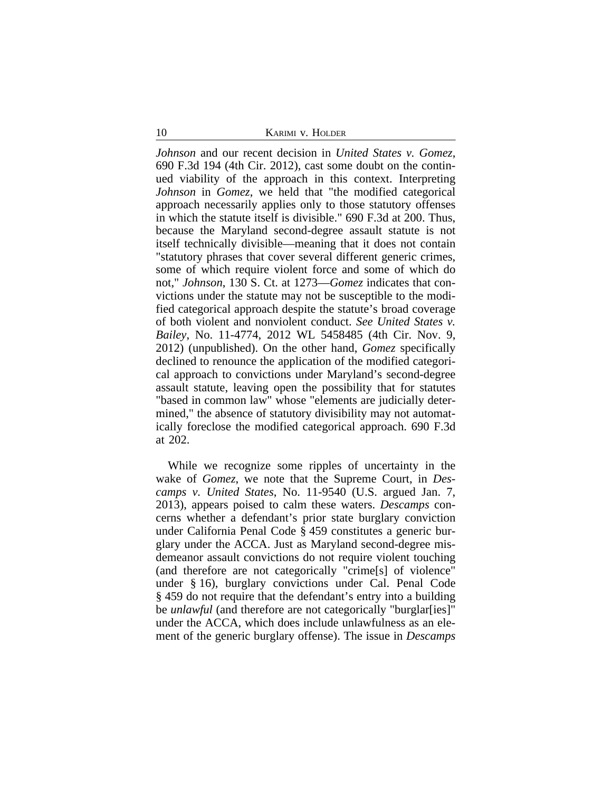10 **KARIMI V. HOLDER** 

*Johnson* and our recent decision in *United States v. Gomez*, 690 F.3d 194 (4th Cir. 2012), cast some doubt on the continued viability of the approach in this context. Interpreting *Johnson* in *Gomez*, we held that "the modified categorical approach necessarily applies only to those statutory offenses in which the statute itself is divisible." 690 F.3d at 200. Thus, because the Maryland second-degree assault statute is not itself technically divisible—meaning that it does not contain "statutory phrases that cover several different generic crimes, some of which require violent force and some of which do not," *Johnson*, 130 S. Ct. at 1273—*Gomez* indicates that convictions under the statute may not be susceptible to the modified categorical approach despite the statute's broad coverage of both violent and nonviolent conduct. *See United States v. Bailey*, No. 11-4774, 2012 WL 5458485 (4th Cir. Nov. 9, 2012) (unpublished). On the other hand, *Gomez* specifically declined to renounce the application of the modified categorical approach to convictions under Maryland's second-degree assault statute, leaving open the possibility that for statutes "based in common law" whose "elements are judicially determined," the absence of statutory divisibility may not automatically foreclose the modified categorical approach. 690 F.3d at 202.

While we recognize some ripples of uncertainty in the wake of *Gomez*, we note that the Supreme Court, in *Descamps v. United States*, No. 11-9540 (U.S. argued Jan. 7, 2013), appears poised to calm these waters. *Descamps* concerns whether a defendant's prior state burglary conviction under California Penal Code § 459 constitutes a generic burglary under the ACCA. Just as Maryland second-degree misdemeanor assault convictions do not require violent touching (and therefore are not categorically "crime[s] of violence" under § 16), burglary convictions under Cal. Penal Code § 459 do not require that the defendant's entry into a building be *unlawful* (and therefore are not categorically "burglar[ies]" under the ACCA, which does include unlawfulness as an element of the generic burglary offense). The issue in *Descamps*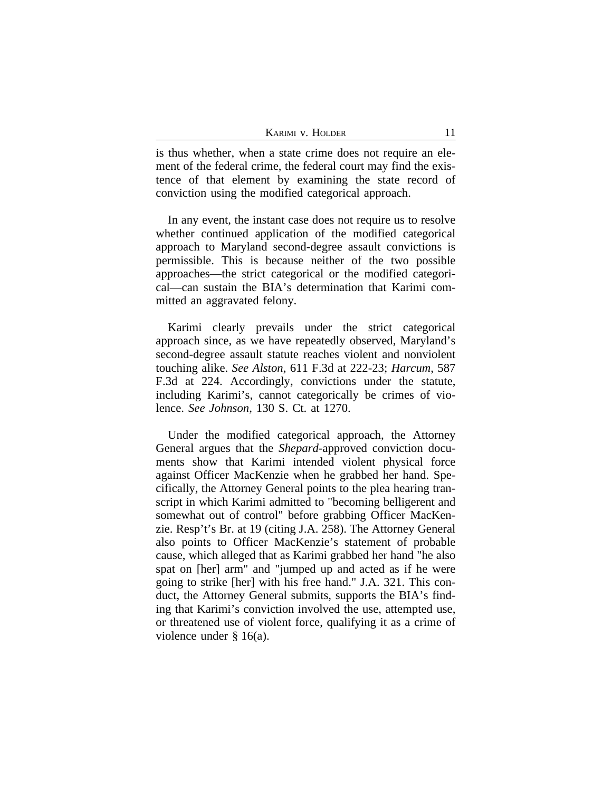is thus whether, when a state crime does not require an element of the federal crime, the federal court may find the existence of that element by examining the state record of conviction using the modified categorical approach.

In any event, the instant case does not require us to resolve whether continued application of the modified categorical approach to Maryland second-degree assault convictions is permissible. This is because neither of the two possible approaches—the strict categorical or the modified categorical—can sustain the BIA's determination that Karimi committed an aggravated felony.

Karimi clearly prevails under the strict categorical approach since, as we have repeatedly observed, Maryland's second-degree assault statute reaches violent and nonviolent touching alike. *See Alston*, 611 F.3d at 222-23; *Harcum*, 587 F.3d at 224. Accordingly, convictions under the statute, including Karimi's, cannot categorically be crimes of violence. *See Johnson*, 130 S. Ct. at 1270.

Under the modified categorical approach, the Attorney General argues that the *Shepard*-approved conviction documents show that Karimi intended violent physical force against Officer MacKenzie when he grabbed her hand. Specifically, the Attorney General points to the plea hearing transcript in which Karimi admitted to "becoming belligerent and somewhat out of control" before grabbing Officer MacKenzie. Resp't's Br. at 19 (citing J.A. 258). The Attorney General also points to Officer MacKenzie's statement of probable cause, which alleged that as Karimi grabbed her hand "he also spat on [her] arm" and "jumped up and acted as if he were going to strike [her] with his free hand." J.A. 321. This conduct, the Attorney General submits, supports the BIA's finding that Karimi's conviction involved the use, attempted use, or threatened use of violent force, qualifying it as a crime of violence under § 16(a).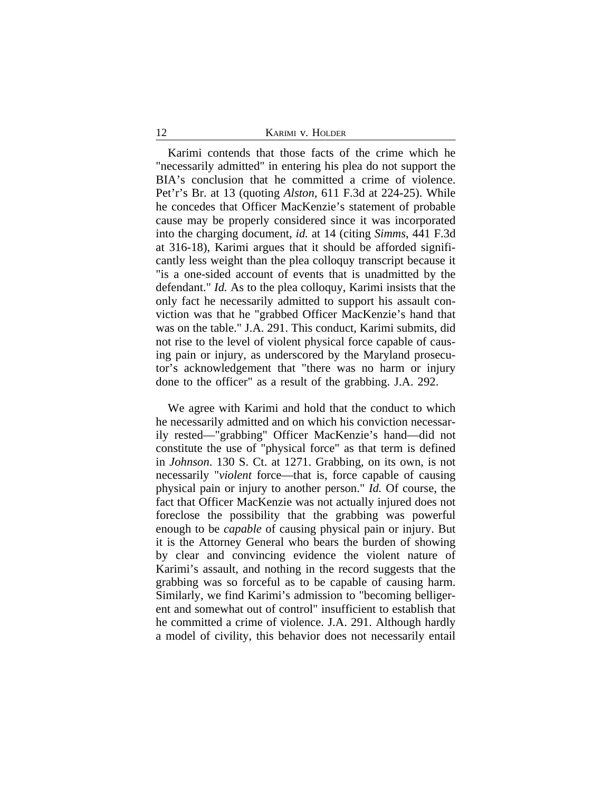12 **KARIMI V. HOLDER** 

Karimi contends that those facts of the crime which he "necessarily admitted" in entering his plea do not support the BIA's conclusion that he committed a crime of violence. Pet'r's Br. at 13 (quoting *Alston*, 611 F.3d at 224-25). While he concedes that Officer MacKenzie's statement of probable cause may be properly considered since it was incorporated into the charging document, *id.* at 14 (citing *Simms*, 441 F.3d at 316-18), Karimi argues that it should be afforded significantly less weight than the plea colloquy transcript because it "is a one-sided account of events that is unadmitted by the defendant." *Id.* As to the plea colloquy, Karimi insists that the only fact he necessarily admitted to support his assault conviction was that he "grabbed Officer MacKenzie's hand that was on the table." J.A. 291. This conduct, Karimi submits, did not rise to the level of violent physical force capable of causing pain or injury, as underscored by the Maryland prosecutor's acknowledgement that "there was no harm or injury done to the officer" as a result of the grabbing. J.A. 292.

We agree with Karimi and hold that the conduct to which he necessarily admitted and on which his conviction necessarily rested—"grabbing" Officer MacKenzie's hand—did not constitute the use of "physical force" as that term is defined in *Johnson*. 130 S. Ct. at 1271. Grabbing, on its own, is not necessarily "*violent* force—that is, force capable of causing physical pain or injury to another person." *Id.* Of course, the fact that Officer MacKenzie was not actually injured does not foreclose the possibility that the grabbing was powerful enough to be *capable* of causing physical pain or injury. But it is the Attorney General who bears the burden of showing by clear and convincing evidence the violent nature of Karimi's assault, and nothing in the record suggests that the grabbing was so forceful as to be capable of causing harm. Similarly, we find Karimi's admission to "becoming belligerent and somewhat out of control" insufficient to establish that he committed a crime of violence. J.A. 291. Although hardly a model of civility, this behavior does not necessarily entail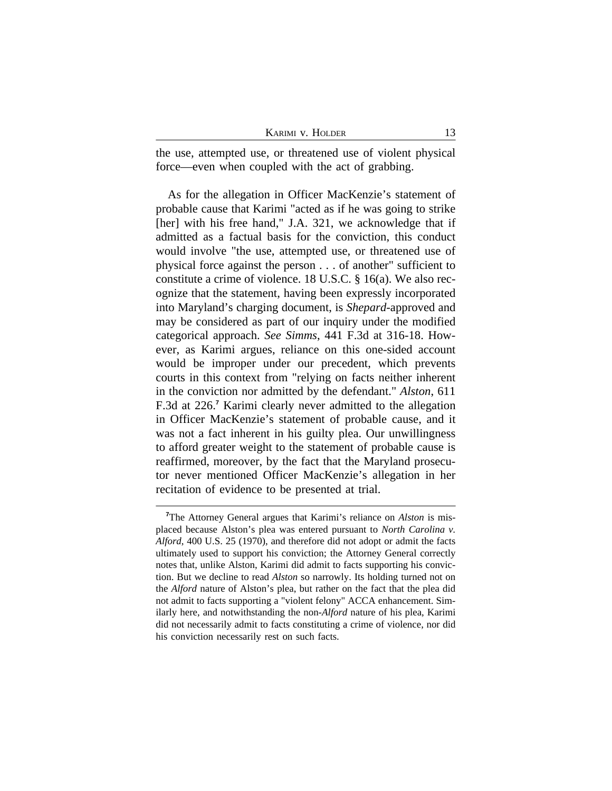| KARIMI V. HOLDER |  |
|------------------|--|
|                  |  |

the use, attempted use, or threatened use of violent physical force—even when coupled with the act of grabbing.

As for the allegation in Officer MacKenzie's statement of probable cause that Karimi "acted as if he was going to strike [her] with his free hand," J.A. 321, we acknowledge that if admitted as a factual basis for the conviction, this conduct would involve "the use, attempted use, or threatened use of physical force against the person . . . of another" sufficient to constitute a crime of violence. 18 U.S.C. § 16(a). We also recognize that the statement, having been expressly incorporated into Maryland's charging document, is *Shepard*-approved and may be considered as part of our inquiry under the modified categorical approach. *See Simms*, 441 F.3d at 316-18. However, as Karimi argues, reliance on this one-sided account would be improper under our precedent, which prevents courts in this context from "relying on facts neither inherent in the conviction nor admitted by the defendant." *Alston*, 611 F.3d at 226.**<sup>7</sup>** Karimi clearly never admitted to the allegation in Officer MacKenzie's statement of probable cause, and it was not a fact inherent in his guilty plea. Our unwillingness to afford greater weight to the statement of probable cause is reaffirmed, moreover, by the fact that the Maryland prosecutor never mentioned Officer MacKenzie's allegation in her recitation of evidence to be presented at trial.

**<sup>7</sup>**The Attorney General argues that Karimi's reliance on *Alston* is misplaced because Alston's plea was entered pursuant to *North Carolina v. Alford*, 400 U.S. 25 (1970), and therefore did not adopt or admit the facts ultimately used to support his conviction; the Attorney General correctly notes that, unlike Alston, Karimi did admit to facts supporting his conviction. But we decline to read *Alston* so narrowly. Its holding turned not on the *Alford* nature of Alston's plea, but rather on the fact that the plea did not admit to facts supporting a "violent felony" ACCA enhancement. Similarly here, and notwithstanding the non-*Alford* nature of his plea, Karimi did not necessarily admit to facts constituting a crime of violence, nor did his conviction necessarily rest on such facts.